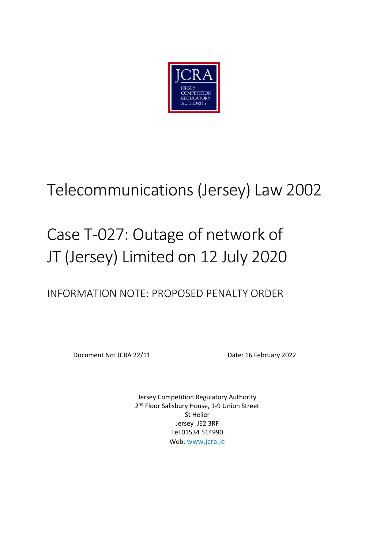

## Telecommunications (Jersey) Law 2002

## Case T-027: Outage of network of JT (Jersey) Limited on 12 July 2020

INFORMATION NOTE: PROPOSED PENALTY ORDER

Document No: JCRA 22/11 Date: 16 February 2022

Jersey Competition Regulatory Authority 2<sup>nd</sup> Floor Salisbury House, 1-9 Union Street St Helier Jersey JE2 3RF Tel 01534 514990 Web: www.jcra.je